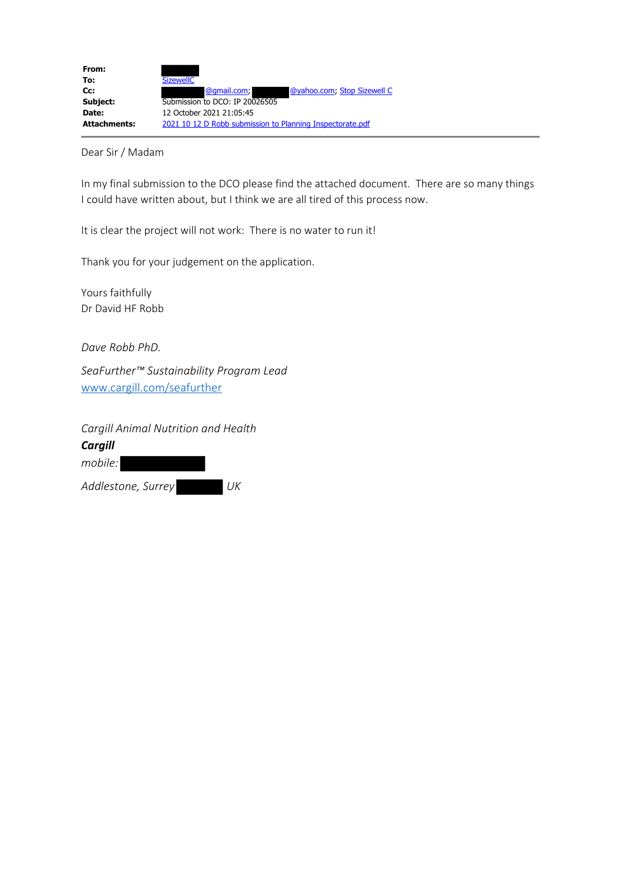

Dear Sir / Madam

In my final submission to the DCO please find the attached document. There are so many things I could have written about, but I think we are all tired of this process now.

It is clear the project will not work: There is no water to run it!

Thank you for your judgement on the application.

Yours faithfully Dr David HF Robb

*Dave Robb PhD.*

*SeaFurther™ Sustainability Program Lead* www.cargill.com/seafurther

*Cargill Animal Nutrition and Health*

*Cargill*

*mobile: Addlestone, Surrey UK*